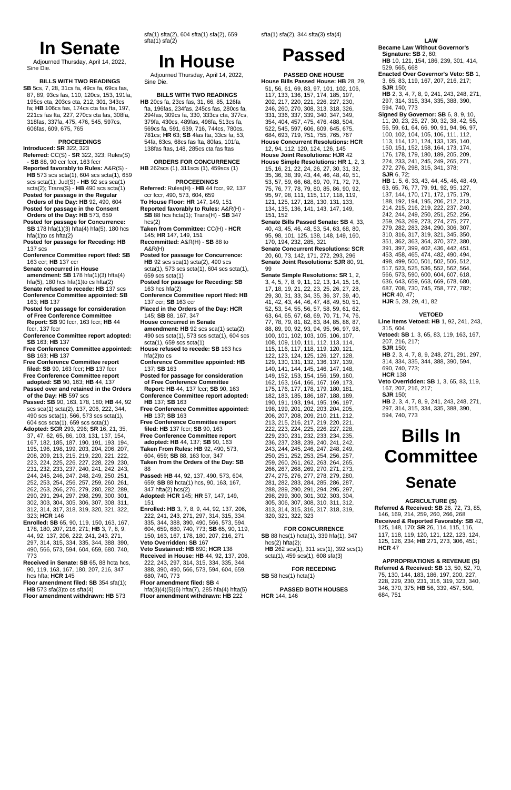# **In Senate**

Adjourned Thursday, April 14, 2022, Sine Die.

#### **BILLS WITH TWO READINGS**

**SB** 5cs, 7, 28, 31cs fa, 49cs fa, 69cs fas, 87, 89, 93cs fas, 110, 120cs, 153, 191fa, 195cs cta, 203cs cta, 212, 301, 343cs fa; **HB** 106cs fas, 174cs cta fas fta, 197, 221cs fas fta, 227, 270cs cta fas, 308fa, 318fas, 337fa, 475, 476, 545, 597cs, 606fas, 609, 675, 765

#### **PROCEEDINGS**

- **Introduced: SR** 322, 323
- **Referred:** CC(S) **SR** 322, 323; Rules(S) - **SB** 88, 90 ccr fccr, 163 fccr
- **Reported favorably to Rules:** A&R(S) **HB** 573 scs scta(1), 604 scs scta(1), 659 scs scta(1); Jud(S) - **HB** 92 scs sca(1)
- scta(2); Trans(S) **HB** 490 scs scta(1) **Posted for passage in the Regular Orders of the Day: HB** 92, 490, 604
- **Posted for passage in the Consent Orders of the Day: HB** 573, 659
- **Posted for passage for Concurrence: SB** 178 hfa(1)(3) hfta(4) hfa(5), 180 hcs hfa(1)to cs hfta(2)
- **Posted for passage for Receding: HB** 137 scs
- **Conference Committee report filed: SB** 163 ccr; **HB** 137 ccr
- **Senate concurred in House amendment: SB** 178 hfa(1)(3) hfta(4) hfa(5), 180 hcs hfa(1)to cs hfta(2)
- **Senate refused to recede: HB** 137 scs **Conference Committee appointed: SB**
- 163; **HB** 137 **Posted for passage for consideration**
- **of Free Conference Committee Report: SB** 90 fccr, 163 fccr; **HB** 44 fccr, 137 fccr
- **Conference Committee report adopted: SB** 163; **HB** 137
- **Free Conference Committee appointed: SB** 163; **HB** 137
- **Free Conference Committee report filed: SB** 90, 163 fccr; **HB** 137 fccr
- **Free Conference Committee report adopted: SB** 90, 163; **HB** 44, 137
- **Passed over and retained in the Orders of the Day: HB** 597 scs
- **Passed: SB** 90, 163, 178, 180; **HB** 44, 92 scs sca(1) scta(2), 137, 206, 222, 344, 490 scs scta(1), 566, 573 scs scta(1), 604 scs scta(1), 659 scs scta(1)
- **Adopted: SCR** 293, 296; **SR** 16, 21, 35, 37, 47, 62, 65, 86, 103, 131, 137, 154, 167, 182, 185, 187, 190, 191, 193, 194, 195, 196, 198, 199, 203, 204, 206, 207, 208, 209, 213, 215, 219, 220, 221, 222, 223, 224, 225, 226, 227, 228, 229, 230, 231, 232, 233, 237, 240, 241, 242, 243, 244, 245, 246, 247, 248, 249, 250, 251, 252, 253, 254, 256, 257, 259, 260, 261, 262, 263, 266, 276, 279, 280, 282, 289, 290, 291, 294, 297, 298, 299, 300, 301, 302, 303, 304, 305, 306, 307, 308, 311, 312, 314, 317, 318, 319, 320, 321, 322, 323; **HCR** 146
- **Enrolled: SB** 65, 90, 119, 150, 163, 167, 178, 180, 207, 216, 271; **HB** 3, 7, 8, 9, 44, 92, 137, 206, 222, 241, 243, 271, 297, 314, 315, 334, 335, 344, 388, 390, 490, 566, 573, 594, 604, 659, 680, 740, 773
- **Received in Senate: SB** 65, 88 hcta hcs, 90, 119, 163, 167, 180, 207, 216, 347 hcs hfta; **HCR** 145

**Floor amendment filed: SB** 354 sfa(1); **HB** 573 sfa(3)to cs sfta(4) **Floor amendment withdrawn: HB** 573

sfa(1) sfta(2), 604 sfta(1) sfa(2), 659 sfta(1) sfa(2)

## **In House**

Adjourned Thursday, April 14, 2022, Sine Die.

#### **BILLS WITH TWO READINGS**

**HB** 20cs fa, 23cs fas, 31, 66, 85, 126fa fta, 196fas, 234fas, 245cs fas, 280cs fa, 294fas, 309cs fa, 330, 333cs cta, 377cs, 379fa, 430cs, 489fas, 496fa, 513cs fa, 569cs fa, 591, 639, 716, 744cs, 780cs, 781cs; **HR** 63; **SB** 4fas fta, 33cs fa, 53, 54fa, 63cs, 68cs fas fta, 80fas, 101fa, 138fas ftas, 148, 285cs cta fas ftas

**ORDERS FOR CONCURRENCE HB** 262scs (1), 311scs (1), 459scs (1)

#### **PROCEEDINGS**

- **Referred:** Rules(H) **HB** 44 fccr, 92, 137 ccr fccr, 490, 573, 604, 659 **To House Floor: HR** 147, 149, 151 **Reported favorably to Rules:** A&R(H) -
- **SB** 88 hcs hcta(1); Trans(H) **SB** 347  $hcs(2)$ **Taken from Committee:** CC(H) - **HCR**
- 145; **HR** 147, 149, 151 **Recommitted:** A&R(H) - **SB** 88 to
- A&R(H) **Posted for passage for Concurrence:**
- **HB** 92 scs sca(1) scta(2), 490 scs scta(1), 573 scs scta(1), 604 scs scta(1), 659 scs scta(1)
- **Posted for passage for Receding: SB** 163 hcs hfa(2)
- **Conference Committee report filed: HB** 137 ccr; **SB** 163 ccr
- **Placed in the Orders of the Day: HCR** 145; **SB** 88, 167, 347
- **House concurred in Senate amendment: HB** 92 scs sca(1) scta(2), 490 scs scta(1), 573 scs scta(1), 604 scs scta(1), 659 scs scta(1)
- **House refused to recede: SB** 163 hcs hfa(2)to cs
- **Conference Committee appointed: HB** 137; **SB** 163
- **Posted for passage for consideration of Free Conference Committee**
- **Report: HB** 44, 137 fccr; **SB** 90, 163 **Conference Committee report adopted: HB** 137; **SB** 163
- **Free Conference Committee appointed: HB** 137; **SB** 163
- **Free Conference Committee report filed: HB** 137 fccr; **SB** 90, 163
- **Free Conference Committee report adopted: HB** 44, 137; **SB** 90, 163 **Taken From Rules: HB** 92, 490, 573,
- 604, 659; **SB** 88, 163 fccr, 347 **Taken from the Orders of the Day: SB**
- 88
- **Passed: HB** 44, 92, 137, 490, 573, 604, 659; **SB** 88 hcta(1) hcs, 90, 163, 167, 347 hfta(2) hcs(2)
- **Adopted: HCR** 145; **HR** 57, 147, 149, 151
- **Enrolled: HB** 3, 7, 8, 9, 44, 92, 137, 206, 222, 241, 243, 271, 297, 314, 315, 334, 335, 344, 388, 390, 490, 566, 573, 594, 604, 659, 680, 740, 773; **SB** 65, 90, 119, 150, 163, 167, 178, 180, 207, 216, 271
- **Veto Overridden: SB** 167 **Veto Sustained: HB** 690; **HCR** 138 **Received in House: HB** 44, 92, 137, 206, 222, 243, 297, 314, 315, 334, 335, 344, 388, 390, 490, 566, 573, 594, 604, 659, 680, 740, 773
	-

**Floor amendment filed: SB** 4

hfa(3)(4)(5)(6) hfta(7), 285 hfa(4) hfta(5) **Floor amendment withdrawn: HB** 222

sfta(1) sfa(2), 344 sfta(3) sfa(4)

## **Passed**

#### **PASSED ONE HOUSE**

**House Bills Passed House: HB** 28, 29, 51, 56, 61, 69, 83, 97, 101, 102, 106, 117, 133, 136, 157, 174, 185, 197, 202, 217, 220, 221, 226, 227, 230, 246, 260, 270, 308, 313, 318, 326, 331, 336, 337, 339, 340, 347, 349, 354, 404, 457, 475, 476, 488, 504, 522, 545, 597, 606, 609, 645, 675, 684, 693, 719, 751, 755, 765, 767 **House Concurrent Resolutions: HCR** 12, 94, 112, 120, 124, 126, 145 **House Joint Resolutions: HJR** 42 **House Simple Resolutions: HR** 1, 2, 3, 15, 16, 21, 22, 24, 26, 27, 30, 31, 32, 35, 36, 38, 39, 43, 44, 46, 48, 49, 51, 53, 57, 59, 66, 68, 69, 70, 71, 72, 73, 75, 76, 77, 78, 79, 80, 85, 86, 90, 92, 95, 97, 98, 111, 115, 117, 118, 119, 121, 125, 127, 128, 130, 131, 133, 134, 135, 136, 141, 143, 147, 149, 151, 152 **Senate Bills Passed Senate: SB** 4, 33, 40, 43, 45, 46, 48, 53, 54, 63, 68, 80, 95, 98, 101, 125, 138, 148, 149, 160, 170, 194, 232, 285, 321 **Senate Concurrent Resolutions: SCR** 20, 60, 73, 142, 171, 272, 293, 296 **Senate Joint Resolutions: SJR** 80, 91, 99 **Senate Simple Resolutions: SR** 1, 2, 3, 4, 5, 7, 8, 9, 11, 12, 13, 14, 15, 16, 17, 18, 19, 21, 22, 23, 25, 26, 27, 28, 29, 30, 31, 33, 34, 35, 36, 37, 39, 40, 41, 42, 43, 44, 46, 47, 48, 49, 50, 51, 52, 53, 54, 55, 56, 57, 58, 59, 61, 62, 63, 64, 65, 67, 68, 69, 70, 71, 74, 76, 77, 78, 79, 81, 82, 83, 84, 85, 86, 87, 88, 89, 90, 92, 93, 94, 95, 96, 97, 98, 100, 101, 102, 103, 105, 106, 107, 108, 109, 110, 111, 112, 113, 114, 115, 116, 117, 118, 119, 120, 121, 122, 123, 124, 125, 126, 127, 128, 129, 130, 131, 132, 136, 137, 139, 140, 141, 144, 145, 146, 147, 148, 149, 152, 153, 154, 156, 159, 160, 162, 163, 164, 166, 167, 169, 173, 175, 176, 177, 178, 179, 180, 181, 182, 183, 185, 186, 187, 188, 189, 190, 191, 193, 194, 195, 196, 197, 198, 199, 201, 202, 203, 204, 205, 206, 207, 208, 209, 210, 211, 212, 213, 215, 216, 217, 219, 220, 221, 222, 223, 224, 225, 226, 227, 228, 229, 230, 231, 232, 233, 234, 235, 236, 237, 238, 239, 240, 241, 242, 243, 244, 245, 246, 247, 248, 249, 250, 251, 252, 253, 254, 256, 257, 259, 260, 261, 262, 263, 264, 265, 266, 267, 268, 269, 270, 271, 273, 274, 275, 276, 277, 278, 279, 280, 281, 282, 283, 284, 285, 286, 287, 288, 289, 290, 291, 294, 295, 297, 298, 299, 300, 301, 302, 303, 304, 305, 306, 307, 308, 310, 311, 312, 313, 314, 315, 316, 317, 318, 319, 320, 321, 322, 323

#### **FOR CONCURRENCE**

**SB** 88 hcs(1) hcta(1), 339 hfa(1), 347  $hcs(2)$  hfta $(2)$ ; **HB** 262 scs(1), 311 scs(1), 392 scs(1) scta(1), 459 scs(1), 608 sfa(3)

**FOR RECEDING**

**SB** 58 hcs(1) hcta(1)

**PASSED BOTH HOUSES HCR** 144, 146

**LAW Became Law Without Governor's Signature: SB** 2, 60; **HB** 10, 121, 154, 186, 239, 301, 414, 529, 565, 668 **Enacted Over Governor's Veto: SB** 1, 3, 65, 83, 119, 167, 207, 216, 217; **SJR** 150; **HB** 2, 3, 4, 7, 8, 9, 241, 243, 248, 271, 297, 314, 315, 334, 335, 388, 390, 594, 740, 773 **Signed By Governor: SB** 6, 8, 9, 10, 11, 20, 23, 25, 27, 30, 32, 38, 42, 55, 56, 59, 61, 64, 66, 90, 91, 94, 96, 97, 100, 102, 104, 105, 106, 111, 112, 113, 114, 121, 124, 133, 135, 140, 150, 151, 152, 158, 164, 173, 174, 176, 178, 179, 180, 189, 205, 209, 224, 233, 241, 245, 249, 265, 271, 272, 276, 298, 315, 341, 378; **SJR** 6, 72; **HB** 1, 5, 6, 33, 43, 44, 45, 46, 48, 49, 63, 65, 76, 77, 79, 91, 92, 95, 127, 137, 144, 170, 171, 172, 175, 179, 188, 192, 194, 195, 206, 212, 213, 214, 215, 216, 219, 222, 237, 240, 242, 244, 249, 250, 251, 252, 256, 259, 263, 269, 273, 274, 275, 277, 279, 282, 283, 284, 290, 306, 307, 310, 316, 317, 319, 321, 345, 350, 351, 362, 363, 364, 370, 372, 380, 391, 397, 399, 402, 436, 442, 451, 453, 458, 465, 474, 482, 490, 494, 498, 499, 500, 501, 502, 506, 512, 517, 523, 525, 536, 552, 562, 564, 566, 573, 590, 600, 604, 607, 618, 636, 643, 659, 663, 669, 678, 680, 687, 708, 730, 745, 758, 777, 782; **HCR** 40, 47; **HJR** 5, 28, 29, 41, 82

#### **VETOED**

**Line Items Vetoed: HB** 1, 92, 241, 243, 315, 604

**Vetoed: SB** 1, 3, 65, 83, 119, 163, 167, 207, 216, 217; **SJR** 150; **HB** 2, 3, 4, 7, 8, 9, 248, 271, 291, 297, 314, 334, 335, 344, 388, 390, 594, 690, 740, 773;

**HCR** 138 **Veto Overridden: SB** 1, 3, 65, 83, 119, 167, 207, 216, 217; **SJR** 150; **HB** 2, 3, 4, 7, 8, 9, 241, 243, 248, 271,

297, 314, 315, 334, 335, 388, 390, 594, 740, 773

# **Bills In Committee**

### **Senate**

#### **AGRICULTURE (S)**

**Referred & Received: SB** 26, 72, 73, 85, 146, 169, 214, 259, 260, 266, 268 **Received & Reported Favorably: SB** 42, 125, 148, 170; **SR** 26, 114, 115, 116, 117, 118, 119, 120, 121, 122, 123, 124, 125, 126, 234; **HB** 271, 273, 306, 451; **HCR** 47

#### **APPROPRIATIONS & REVENUE (S) Referred & Received: SB** 13, 50, 52, 70,

75, 130, 144, 183, 186, 197, 200, 227, 228, 229, 230, 231, 316, 319, 323, 340, 346, 370, 375; **HB** 56, 339, 457, 590, 684, 751